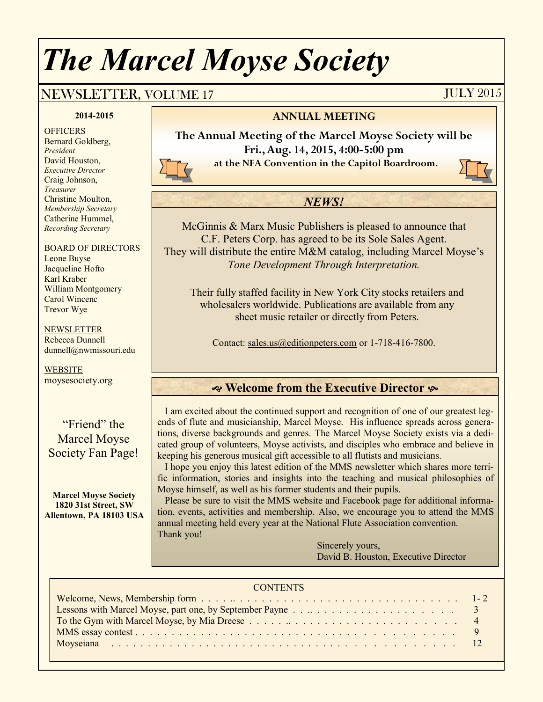# *The Marcel Moyse Society*

## NEWSLETTER, VOLUME 17 JULY 2015

#### **2014-2015**

**OFFICERS** Bernard Goldberg, *President* David Houston, *Executive Director* Craig Johnson, *Treasurer* Christine Moulton, *Membership Secretary* Catherine Hummel, *Recording Secretary*

#### BOARD OF DIRECTORS

Leone Buyse Jacqueline Hofto Karl Kraber William Montgomery Carol Wincenc Trevor Wye

#### **NEWSLETTER**

Rebecca Dunnell dunnell@nwmissouri.edu

**WEBSITE** moysesociety.org

"Friend" the Marcel Moyse Society Fan Page!

**Marcel Moyse Society 1820 31st Street, SW Allentown, PA 18103 USA**

#### **ANNUAL MEETING**

**The Annual Meeting of the Marcel Moyse Society will be Fri., Aug. 14, 2015, 4:00-5:00 pm at the NFA Convention in the Capitol Boardroom.** 

#### *NEWS!*

McGinnis & Marx Music Publishers is pleased to announce that C.F. Peters Corp. has agreed to be its Sole Sales Agent. They will distribute the entire M&M catalog, including Marcel Moyse's *Tone Development Through Interpretation.*

Their fully staffed facility in New York City stocks retailers and wholesalers worldwide. Publications are available from any sheet music retailer or directly from Peters.

Contact: [sales.us@editionpeters.com](mailto:sales.us@editionpeters.com) or 1-718-416-7800.

### **Welcome from the Executive Director**

 I am excited about the continued support and recognition of one of our greatest legends of flute and musicianship, Marcel Moyse. His influence spreads across generations, diverse backgrounds and genres. The Marcel Moyse Society exists via a dedicated group of volunteers, Moyse activists, and disciples who embrace and believe in keeping his generous musical gift accessible to all flutists and musicians.

 I hope you enjoy this latest edition of the MMS newsletter which shares more terrific information, stories and insights into the teaching and musical philosophies of Moyse himself, as well as his former students and their pupils.

 Please be sure to visit the MMS website and Facebook page for additional information, events, activities and membership. Also, we encourage you to attend the MMS annual meeting held every year at the National Flute Association convention. Thank you!

> Sincerely yours, David B. Houston, Executive Director

#### **CONTENTS**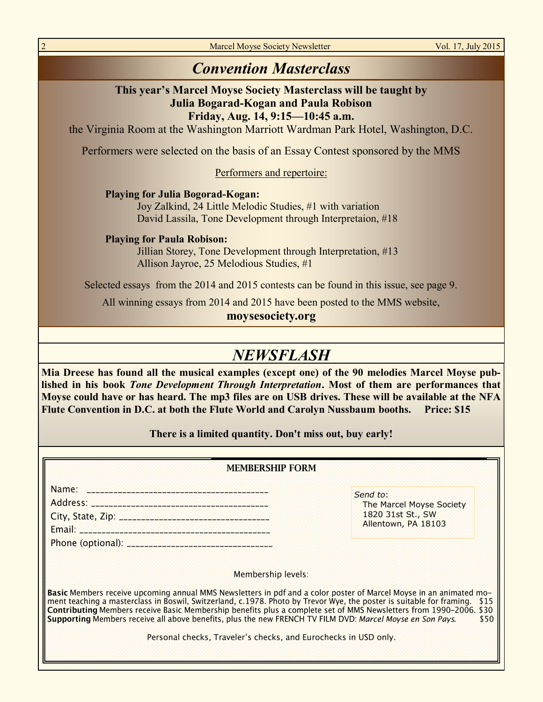Marcel Moyse Society Newsletter Vol. 17, July 2015

## *Convention Masterclass*

## **This year's Marcel Moyse Society Masterclass will be taught by Julia Bogarad-Kogan and Paula Robison**

**Friday, Aug. 14, 9:15—10:45 a.m.** 

the Virginia Room at the Washington Marriott Wardman Park Hotel, Washington, D.C.

Performers were selected on the basis of an Essay Contest sponsored by the MMS

Performers and repertoire:

**Playing for Julia Bogorad-Kogan:**

Joy Zalkind, 24 Little Melodic Studies, #1 with variation David Lassila, Tone Development through Interpretaion, #18

**Playing for Paula Robison:**

Jillian Storey, Tone Development through Interpretation, #13 Allison Jayroe, 25 Melodious Studies, #1

Selected essays from the 2014 and 2015 contests can be found in this issue, see page 9.

All winning essays from 2014 and 2015 have been posted to the MMS website,

#### **moysesociety.org**

## *NEWSFLASH*

**Mia Dreese has found all the musical examples (except one) of the 90 melodies Marcel Moyse published in his book** *Tone Development Through Interpretation***. Most of them are performances that Moyse could have or has heard. The mp3 files are on USB drives. These will be available at the NFA Flute Convention in D.C. at both the Flute World and Carolyn Nussbaum booths. Price: \$15**

**There is a limited quantity. Don't miss out, buy early!**

| <b>MEMBERSHIP FORM</b>                                                                                                                                                                                                                                                                                                                                                                                                                                                                                                                                                              |                                                                                  |  |
|-------------------------------------------------------------------------------------------------------------------------------------------------------------------------------------------------------------------------------------------------------------------------------------------------------------------------------------------------------------------------------------------------------------------------------------------------------------------------------------------------------------------------------------------------------------------------------------|----------------------------------------------------------------------------------|--|
|                                                                                                                                                                                                                                                                                                                                                                                                                                                                                                                                                                                     | Send to:<br>The Marcel Moyse Society<br>1820 31st St., SW<br>Allentown, PA 18103 |  |
| Membership levels:<br>Basic Members receive upcoming annual MMS Newsletters in pdf and a color poster of Marcel Moyse in an animated mo-<br>ment teaching a masterclass in Boswil, Switzerland, c.1978. Photo by Trevor Wye, the poster is suitable for framing. \$15<br>Contributing Members receive Basic Membership benefits plus a complete set of MMS Newsletters from 1990-2006. \$30<br>Supporting Members receive all above benefits, plus the new FRENCH TV FILM DVD: Marcel Moyse en Son Pays.<br>\$50<br>Personal checks, Traveler's checks, and Eurochecks in USD only. |                                                                                  |  |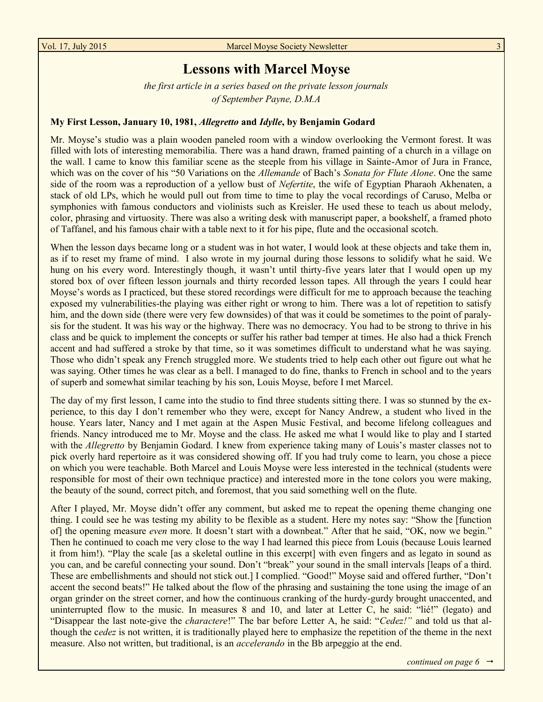## **Lessons with Marcel Moyse**

*the first article in a series based on the private lesson journals of September Payne, D.M.A*

#### **My First Lesson, January 10, 1981,** *Allegretto* **and** *Idylle***, by Benjamin Godard**

Mr. Moyse's studio was a plain wooden paneled room with a window overlooking the Vermont forest. It was filled with lots of interesting memorabilia. There was a hand drawn, framed painting of a church in a village on the wall. I came to know this familiar scene as the steeple from his village in Sainte-Amor of Jura in France, which was on the cover of his "50 Variations on the *Allemande* of Bach's *Sonata for Flute Alone*. One the same side of the room was a reproduction of a yellow bust of *Nefertite*, the wife of Egyptian Pharaoh Akhenaten, a stack of old LPs, which he would pull out from time to time to play the vocal recordings of Caruso, Melba or symphonies with famous conductors and violinists such as Kreisler. He used these to teach us about melody, color, phrasing and virtuosity. There was also a writing desk with manuscript paper, a bookshelf, a framed photo of Taffanel, and his famous chair with a table next to it for his pipe, flute and the occasional scotch.

When the lesson days became long or a student was in hot water, I would look at these objects and take them in, as if to reset my frame of mind. I also wrote in my journal during those lessons to solidify what he said. We hung on his every word. Interestingly though, it wasn't until thirty-five years later that I would open up my stored box of over fifteen lesson journals and thirty recorded lesson tapes. All through the years I could hear Moyse's words as I practiced, but these stored recordings were difficult for me to approach because the teaching exposed my vulnerabilities-the playing was either right or wrong to him. There was a lot of repetition to satisfy him, and the down side (there were very few downsides) of that was it could be sometimes to the point of paralysis for the student. It was his way or the highway. There was no democracy. You had to be strong to thrive in his class and be quick to implement the concepts or suffer his rather bad temper at times. He also had a thick French accent and had suffered a stroke by that time, so it was sometimes difficult to understand what he was saying. Those who didn't speak any French struggled more. We students tried to help each other out figure out what he was saying. Other times he was clear as a bell. I managed to do fine, thanks to French in school and to the years of superb and somewhat similar teaching by his son, Louis Moyse, before I met Marcel.

The day of my first lesson, I came into the studio to find three students sitting there. I was so stunned by the experience, to this day I don't remember who they were, except for Nancy Andrew, a student who lived in the house. Years later, Nancy and I met again at the Aspen Music Festival, and become lifelong colleagues and friends. Nancy introduced me to Mr. Moyse and the class. He asked me what I would like to play and I started with the *Allegretto* by Benjamin Godard. I knew from experience taking many of Louis's master classes not to pick overly hard repertoire as it was considered showing off. If you had truly come to learn, you chose a piece on which you were teachable. Both Marcel and Louis Moyse were less interested in the technical (students were responsible for most of their own technique practice) and interested more in the tone colors you were making, the beauty of the sound, correct pitch, and foremost, that you said something well on the flute.

After I played, Mr. Moyse didn't offer any comment, but asked me to repeat the opening theme changing one thing. I could see he was testing my ability to be flexible as a student. Here my notes say: "Show the [function of] the opening measure *even* more. It doesn't start with a downbeat." After that he said, "OK, now we begin." Then he continued to coach me very close to the way I had learned this piece from Louis (because Louis learned it from him!). "Play the scale [as a skeletal outline in this excerpt] with even fingers and as legato in sound as you can, and be careful connecting your sound. Don't "break" your sound in the small intervals [leaps of a third. These are embellishments and should not stick out.] I complied. "Good!" Moyse said and offered further, "Don't accent the second beats!" He talked about the flow of the phrasing and sustaining the tone using the image of an organ grinder on the street corner, and how the continuous cranking of the hurdy-gurdy brought unaccented, and uninterrupted flow to the music. In measures 8 and 10, and later at Letter C, he said: "lié!" (legato) and "Disappear the last note-give the *charactere*!" The bar before Letter A, he said: "*Cedez!"* and told us that although the c*edez* is not written, it is traditionally played here to emphasize the repetition of the theme in the next measure. Also not written, but traditional, is an *accelerando* in the Bb arpeggio at the end.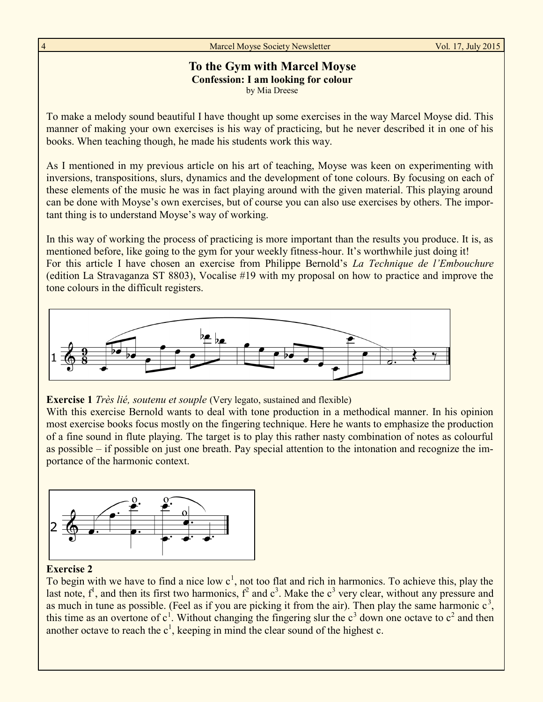#### **To the Gym with Marcel Moyse Confession: I am looking for colour** by Mia Dreese

To make a melody sound beautiful I have thought up some exercises in the way Marcel Moyse did. This manner of making your own exercises is his way of practicing, but he never described it in one of his books. When teaching though, he made his students work this way.

As I mentioned in my previous article on his art of teaching, Moyse was keen on experimenting with inversions, transpositions, slurs, dynamics and the development of tone colours. By focusing on each of these elements of the music he was in fact playing around with the given material. This playing around can be done with Moyse's own exercises, but of course you can also use exercises by others. The important thing is to understand Moyse's way of working.

In this way of working the process of practicing is more important than the results you produce. It is, as mentioned before, like going to the gym for your weekly fitness-hour. It's worthwhile just doing it! For this article I have chosen an exercise from Philippe Bernold's *La Technique de l'Embouchure* (edition La Stravaganza ST 8803), Vocalise #19 with my proposal on how to practice and improve the tone colours in the difficult registers.



#### **Exercise 1** *Très lié, soutenu et souple* (Very legato, sustained and flexible)

With this exercise Bernold wants to deal with tone production in a methodical manner. In his opinion most exercise books focus mostly on the fingering technique. Here he wants to emphasize the production of a fine sound in flute playing. The target is to play this rather nasty combination of notes as colourful as possible – if possible on just one breath. Pay special attention to the intonation and recognize the importance of the harmonic context.



#### **Exercise 2**

To begin with we have to find a nice low  $c<sup>1</sup>$ , not too flat and rich in harmonics. To achieve this, play the last note,  $f^1$ , and then its first two harmonics,  $f^2$  and  $c^3$ . Make the  $c^3$  very clear, without any pressure and as much in tune as possible. (Feel as if you are picking it from the air). Then play the same harmonic  $c<sup>3</sup>$ , this time as an overtone of  $c^1$ . Without changing the fingering slur the  $c^3$  down one octave to  $c^2$  and then another octave to reach the  $c^1$ , keeping in mind the clear sound of the highest c.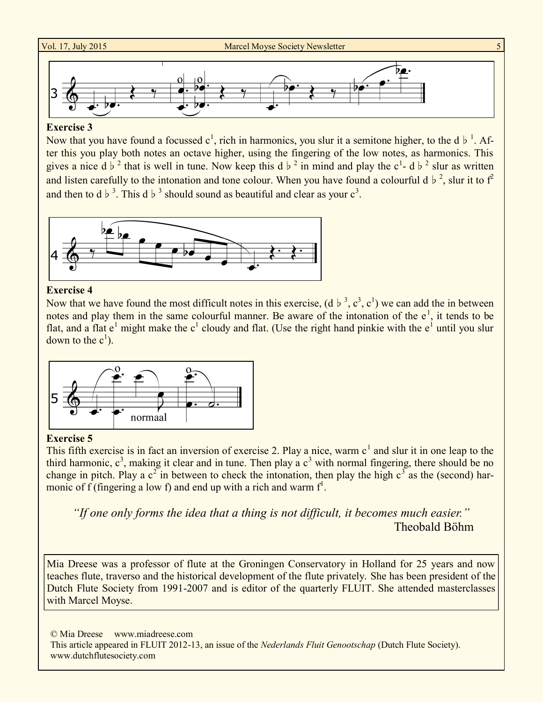

#### **Exercise 3**

Now that you have found a focussed  $c^1$ , rich in harmonics, you slur it a semitone higher, to the d  $\flat^1$ . After this you play both notes an octave higher, using the fingering of the low notes, as harmonics. This gives a nice d♭<sup>2</sup> that is well in tune. Now keep this d♭<sup>2</sup> in mind and play the c<sup>1</sup>- d♭<sup>2</sup> slur as written and listen carefully to the intonation and tone colour. When you have found a colourful d  $\flat$ <sup>2</sup>, slur it to  $f^2$ and then to d  $\flat$ <sup>3</sup>. This d  $\flat$ <sup>3</sup> should sound as beautiful and clear as your c<sup>3</sup>.



#### **Exercise 4**

Now that we have found the most difficult notes in this exercise,  $(d \, b \, 3, c^3, c^1)$  we can add the in between notes and play them in the same colourful manner. Be aware of the intonation of the  $e^1$ , it tends to be flat, and a flat  $e^1$  might make the  $c^1$  cloudy and flat. (Use the right hand pinkie with the  $e^1$  until you slur down to the  $c^1$ ).



#### **Exercise 5**

This fifth exercise is in fact an inversion of exercise 2. Play a nice, warm  $c<sup>1</sup>$  and slur it in one leap to the third harmonic,  $c^3$ , making it clear and in tune. Then play a  $c^3$  with normal fingering, there should be no change in pitch. Play a  $c^2$  in between to check the intonation, then play the high  $c^3$  as the (second) harmonic of  $f$  (fingering a low f) and end up with a rich and warm  $f<sup>1</sup>$ .

*"If one only forms the idea that a thing is not difficult, it becomes much easier."* Theobald Böhm

Mia Dreese was a professor of flute at the Groningen Conservatory in Holland for 25 years and now teaches flute, traverso and the historical development of the flute privately. She has been president of the Dutch Flute Society from 1991-2007 and is editor of the quarterly FLUIT. She attended masterclasses with Marcel Moyse.

© Mia Dreese www.miadreese.com This article appeared in FLUIT 2012-13, an issue of the *Nederlands Fluit Genootschap* (Dutch Flute Society). www.dutchflutesociety.com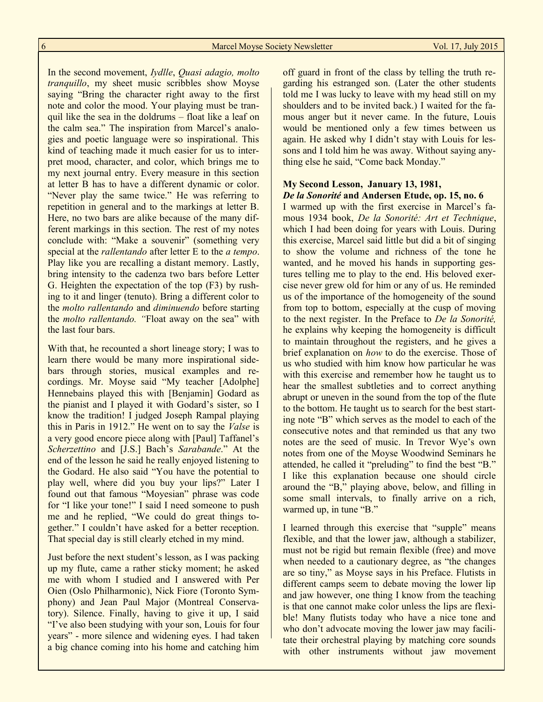In the second movement, *Iydlle*, *Quasi adagio, molto tranquillo*, my sheet music scribbles show Moyse saying "Bring the character right away to the first note and color the mood. Your playing must be tranquil like the sea in the doldrums – float like a leaf on the calm sea." The inspiration from Marcel's analogies and poetic language were so inspirational. This kind of teaching made it much easier for us to interpret mood, character, and color, which brings me to my next journal entry. Every measure in this section at letter B has to have a different dynamic or color. "Never play the same twice." He was referring to repetition in general and to the markings at letter B. Here, no two bars are alike because of the many different markings in this section. The rest of my notes conclude with: "Make a souvenir" (something very special at the *rallentando* after letter E to the *a tempo*. Play like you are recalling a distant memory. Lastly, bring intensity to the cadenza two bars before Letter G. Heighten the expectation of the top (F3) by rushing to it and linger (tenuto). Bring a different color to the *molto rallentando* and *diminuendo* before starting the *molto rallentando. "*Float away on the sea" with the last four bars.

With that, he recounted a short lineage story; I was to learn there would be many more inspirational sidebars through stories, musical examples and recordings. Mr. Moyse said "My teacher [Adolphe] Hennebains played this with [Benjamin] Godard as the pianist and I played it with Godard's sister, so I know the tradition! I judged Joseph Rampal playing this in Paris in 1912." He went on to say the *Valse* is a very good encore piece along with [Paul] Taffanel's *Scherzettino* and [J.S.] Bach's *Sarabande*." At the end of the lesson he said he really enjoyed listening to the Godard. He also said "You have the potential to play well, where did you buy your lips?" Later I found out that famous "Moyesian" phrase was code for "I like your tone!" I said I need someone to push me and he replied, "We could do great things together." I couldn't have asked for a better reception. That special day is still clearly etched in my mind.

Just before the next student's lesson, as I was packing up my flute, came a rather sticky moment; he asked me with whom I studied and I answered with Per Oien (Oslo Philharmonic), Nick Fiore (Toronto Symphony) and Jean Paul Major (Montreal Conservatory). Silence. Finally, having to give it up, I said "I've also been studying with your son, Louis for four years" - more silence and widening eyes. I had taken a big chance coming into his home and catching him off guard in front of the class by telling the truth regarding his estranged son. (Later the other students told me I was lucky to leave with my head still on my shoulders and to be invited back.) I waited for the famous anger but it never came. In the future, Louis would be mentioned only a few times between us again. He asked why I didn't stay with Louis for lessons and I told him he was away. Without saying anything else he said, "Come back Monday."

#### **My Second Lesson, January 13, 1981,**  *De la Sonorité* **and Andersen Etude, op. 15, no. 6**

I warmed up with the first exercise in Marcel's famous 1934 book, *De la Sonorité: Art et Technique*, which I had been doing for years with Louis. During this exercise, Marcel said little but did a bit of singing to show the volume and richness of the tone he wanted, and he moved his hands in supporting gestures telling me to play to the end. His beloved exercise never grew old for him or any of us. He reminded us of the importance of the homogeneity of the sound from top to bottom, especially at the cusp of moving to the next register. In the Preface to *De la Sonorité,*  he explains why keeping the homogeneity is difficult to maintain throughout the registers, and he gives a brief explanation on *how* to do the exercise. Those of us who studied with him know how particular he was with this exercise and remember how he taught us to hear the smallest subtleties and to correct anything abrupt or uneven in the sound from the top of the flute to the bottom. He taught us to search for the best starting note "B" which serves as the model to each of the consecutive notes and that reminded us that any two notes are the seed of music. In Trevor Wye's own notes from one of the Moyse Woodwind Seminars he attended, he called it "preluding" to find the best "B." I like this explanation because one should circle around the "B," playing above, below, and filling in some small intervals, to finally arrive on a rich, warmed up, in tune "B."

I learned through this exercise that "supple" means flexible, and that the lower jaw, although a stabilizer, must not be rigid but remain flexible (free) and move when needed to a cautionary degree, as "the changes" are so tiny," as Moyse says in his Preface. Flutists in different camps seem to debate moving the lower lip and jaw however, one thing I know from the teaching is that one cannot make color unless the lips are flexible! Many flutists today who have a nice tone and who don't advocate moving the lower jaw may facilitate their orchestral playing by matching core sounds with other instruments without jaw movement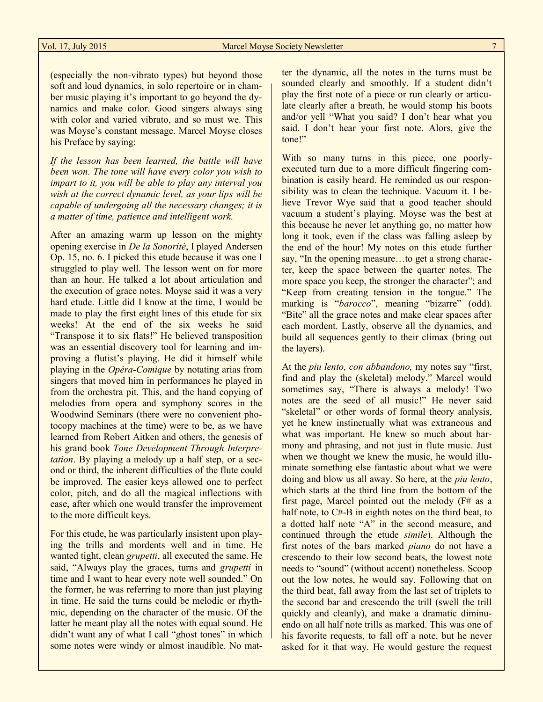(especially the non-vibrato types) but beyond those soft and loud dynamics, in solo repertoire or in chamber music playing it's important to go beyond the dynamics and make color. Good singers always sing with color and varied vibrato, and so must we. This was Moyse's constant message. Marcel Moyse closes his Preface by saying:

*If the lesson has been learned, the battle will have been won. The tone will have every color you wish to impart to it, you will be able to play any interval you wish at the correct dynamic level, as your lips will be capable of undergoing all the necessary changes; it is a matter of time, patience and intelligent work.* 

After an amazing warm up lesson on the mighty opening exercise in *De la Sonorité*, I played Andersen Op. 15, no. 6. I picked this etude because it was one I struggled to play well. The lesson went on for more than an hour. He talked a lot about articulation and the execution of grace notes. Moyse said it was a very hard etude. Little did I know at the time, I would be made to play the first eight lines of this etude for six weeks! At the end of the six weeks he said "Transpose it to six flats!" He believed transposition was an essential discovery tool for learning and improving a flutist's playing. He did it himself while playing in the *Opéra-Comique* by notating arias from singers that moved him in performances he played in from the orchestra pit. This, and the hand copying of melodies from opera and symphony scores in the Woodwind Seminars (there were no convenient photocopy machines at the time) were to be, as we have learned from Robert Aitken and others, the genesis of his grand book *Tone Development Through Interpretation*. By playing a melody up a half step, or a second or third, the inherent difficulties of the flute could be improved. The easier keys allowed one to perfect color, pitch, and do all the magical inflections with ease, after which one would transfer the improvement to the more difficult keys.

For this etude, he was particularly insistent upon playing the trills and mordents well and in time. He wanted tight, clean *grupetti*, all executed the same. He said, "Always play the graces, turns and *grupetti* in time and I want to hear every note well sounded." On the former, he was referring to more than just playing in time. He said the turns could be melodic or rhythmic, depending on the character of the music. Of the latter he meant play all the notes with equal sound. He didn't want any of what I call "ghost tones" in which some notes were windy or almost inaudible. No matter the dynamic, all the notes in the turns must be sounded clearly and smoothly. If a student didn't play the first note of a piece or run clearly or articulate clearly after a breath, he would stomp his boots and/or yell "What you said? I don't hear what you said. I don't hear your first note. Alors, give the tone!"

With so many turns in this piece, one poorlyexecuted turn due to a more difficult fingering combination is easily heard. He reminded us our responsibility was to clean the technique. Vacuum it. I believe Trevor Wye said that a good teacher should vacuum a student's playing. Moyse was the best at this because he never let anything go, no matter how long it took, even if the class was falling asleep by the end of the hour! My notes on this etude further say, "In the opening measure…to get a strong character, keep the space between the quarter notes. The more space you keep, the stronger the character"; and "Keep from creating tension in the tongue." The marking is "*barocco*", meaning "bizarre" (odd). "Bite" all the grace notes and make clear spaces after each mordent. Lastly, observe all the dynamics, and build all sequences gently to their climax (bring out the layers).

At the *piu lento, con abbandono,* my notes say "first, find and play the (skeletal) melody." Marcel would sometimes say, "There is always a melody! Two notes are the seed of all music!" He never said "skeletal" or other words of formal theory analysis, yet he knew instinctually what was extraneous and what was important. He knew so much about harmony and phrasing, and not just in flute music. Just when we thought we knew the music, he would illuminate something else fantastic about what we were doing and blow us all away. So here, at the *piu lento*, which starts at the third line from the bottom of the first page, Marcel pointed out the melody  $(F#$  as a half note, to C#-B in eighth notes on the third beat, to a dotted half note "A" in the second measure, and continued through the etude *simile*). Although the first notes of the bars marked *piano* do not have a crescendo to their low second beats, the lowest note needs to "sound" (without accent) nonetheless. Scoop out the low notes, he would say. Following that on the third beat, fall away from the last set of triplets to the second bar and crescendo the trill (swell the trill quickly and cleanly), and make a dramatic diminuendo on all half note trills as marked. This was one of his favorite requests, to fall off a note, but he never asked for it that way. He would gesture the request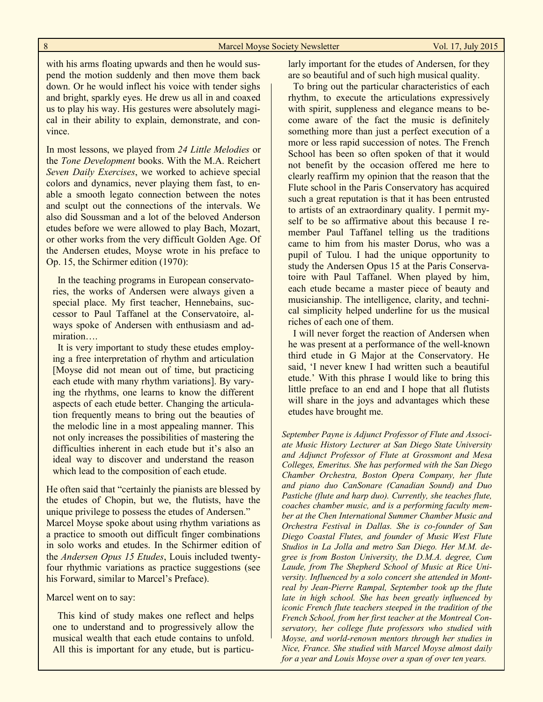with his arms floating upwards and then he would suspend the motion suddenly and then move them back down. Or he would inflect his voice with tender sighs and bright, sparkly eyes. He drew us all in and coaxed us to play his way. His gestures were absolutely magical in their ability to explain, demonstrate, and convince.

In most lessons, we played from *24 Little Melodies* or the *Tone Development* books. With the M.A. Reichert *Seven Daily Exercises*, we worked to achieve special colors and dynamics, never playing them fast, to enable a smooth legato connection between the notes and sculpt out the connections of the intervals. We also did Soussman and a lot of the beloved Anderson etudes before we were allowed to play Bach, Mozart, or other works from the very difficult Golden Age. Of the Andersen etudes, Moyse wrote in his preface to Op. 15, the Schirmer edition (1970):

 In the teaching programs in European conservatories, the works of Andersen were always given a special place. My first teacher, Hennebains, successor to Paul Taffanel at the Conservatoire, always spoke of Andersen with enthusiasm and admiration….

 It is very important to study these etudes employing a free interpretation of rhythm and articulation [Moyse did not mean out of time, but practicing each etude with many rhythm variations]. By varying the rhythms, one learns to know the different aspects of each etude better. Changing the articulation frequently means to bring out the beauties of the melodic line in a most appealing manner. This not only increases the possibilities of mastering the difficulties inherent in each etude but it's also an ideal way to discover and understand the reason which lead to the composition of each etude.

He often said that "certainly the pianists are blessed by the etudes of Chopin, but we, the flutists, have the unique privilege to possess the etudes of Andersen." Marcel Moyse spoke about using rhythm variations as a practice to smooth out difficult finger combinations in solo works and etudes. In the Schirmer edition of the *Andersen Opus 15 Etudes*, Louis included twentyfour rhythmic variations as practice suggestions (see his Forward, similar to Marcel's Preface).

Marcel went on to say:

This kind of study makes one reflect and helps one to understand and to progressively allow the musical wealth that each etude contains to unfold. All this is important for any etude, but is particularly important for the etudes of Andersen, for they are so beautiful and of such high musical quality.

 To bring out the particular characteristics of each rhythm, to execute the articulations expressively with spirit, suppleness and elegance means to become aware of the fact the music is definitely something more than just a perfect execution of a more or less rapid succession of notes. The French School has been so often spoken of that it would not benefit by the occasion offered me here to clearly reaffirm my opinion that the reason that the Flute school in the Paris Conservatory has acquired such a great reputation is that it has been entrusted to artists of an extraordinary quality. I permit myself to be so affirmative about this because I remember Paul Taffanel telling us the traditions came to him from his master Dorus, who was a pupil of Tulou. I had the unique opportunity to study the Andersen Opus 15 at the Paris Conservatoire with Paul Taffanel. When played by him, each etude became a master piece of beauty and musicianship. The intelligence, clarity, and technical simplicity helped underline for us the musical riches of each one of them.

 I will never forget the reaction of Andersen when he was present at a performance of the well-known third etude in G Major at the Conservatory. He said, 'I never knew I had written such a beautiful etude.' With this phrase I would like to bring this little preface to an end and I hope that all flutists will share in the joys and advantages which these etudes have brought me.

*September Payne is Adjunct Professor of Flute and Associate Music History Lecturer at San Diego State University and Adjunct Professor of Flute at Grossmont and Mesa Colleges, Emeritus. She has performed with the San Diego Chamber Orchestra, Boston Opera Company, her flute and piano duo CanSonare (Canadian Sound) and Duo Pastiche (flute and harp duo). Currently, she teaches flute, coaches chamber music, and is a performing faculty member at the Chen International Summer Chamber Music and Orchestra Festival in Dallas. She is co-founder of San Diego Coastal Flutes, and founder of Music West Flute Studios in La Jolla and metro San Diego. Her M.M. degree is from Boston University, the D.M.A. degree, Cum Laude, from The Shepherd School of Music at Rice University. Influenced by a solo concert she attended in Montreal by Jean-Pierre Rampal, September took up the flute late in high school. She has been greatly influenced by iconic French flute teachers steeped in the tradition of the French School, from her first teacher at the Montreal Conservatory, her college flute professors who studied with Moyse, and world-renown mentors through her studies in Nice, France. She studied with Marcel Moyse almost daily for a year and Louis Moyse over a span of over ten years.*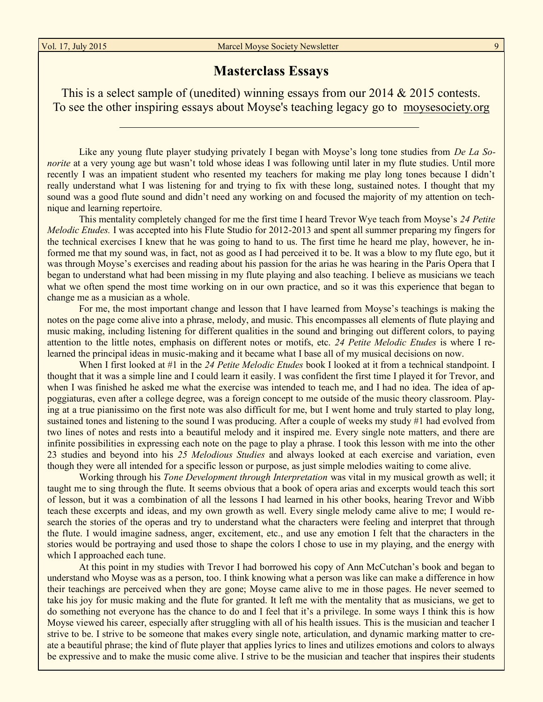## **Masterclass Essays**

This is a select sample of (unedited) winning essays from our 2014 & 2015 contests. To see the other inspiring essays about Moyse's teaching legacy go to [moysesociety.org](http://moysesociety.org)

Like any young flute player studying privately I began with Moyse's long tone studies from *De La Sonorite* at a very young age but wasn't told whose ideas I was following until later in my flute studies. Until more recently I was an impatient student who resented my teachers for making me play long tones because I didn't really understand what I was listening for and trying to fix with these long, sustained notes. I thought that my sound was a good flute sound and didn't need any working on and focused the majority of my attention on technique and learning repertoire.

This mentality completely changed for me the first time I heard Trevor Wye teach from Moyse's *24 Petite Melodic Etudes.* I was accepted into his Flute Studio for 2012-2013 and spent all summer preparing my fingers for the technical exercises I knew that he was going to hand to us. The first time he heard me play, however, he informed me that my sound was, in fact, not as good as I had perceived it to be. It was a blow to my flute ego, but it was through Moyse's exercises and reading about his passion for the arias he was hearing in the Paris Opera that I began to understand what had been missing in my flute playing and also teaching. I believe as musicians we teach what we often spend the most time working on in our own practice, and so it was this experience that began to change me as a musician as a whole.

For me, the most important change and lesson that I have learned from Moyse's teachings is making the notes on the page come alive into a phrase, melody, and music. This encompasses all elements of flute playing and music making, including listening for different qualities in the sound and bringing out different colors, to paying attention to the little notes, emphasis on different notes or motifs, etc. *24 Petite Melodic Etudes* is where I relearned the principal ideas in music-making and it became what I base all of my musical decisions on now.

When I first looked at #1 in the *24 Petite Melodic Etudes* book I looked at it from a technical standpoint. I thought that it was a simple line and I could learn it easily. I was confident the first time I played it for Trevor, and when I was finished he asked me what the exercise was intended to teach me, and I had no idea. The idea of appoggiaturas, even after a college degree, was a foreign concept to me outside of the music theory classroom. Playing at a true pianissimo on the first note was also difficult for me, but I went home and truly started to play long, sustained tones and listening to the sound I was producing. After a couple of weeks my study #1 had evolved from two lines of notes and rests into a beautiful melody and it inspired me. Every single note matters, and there are infinite possibilities in expressing each note on the page to play a phrase. I took this lesson with me into the other 23 studies and beyond into his *25 Melodious Studies* and always looked at each exercise and variation, even though they were all intended for a specific lesson or purpose, as just simple melodies waiting to come alive.

Working through his *Tone Development through Interpretation* was vital in my musical growth as well; it taught me to sing through the flute. It seems obvious that a book of opera arias and excerpts would teach this sort of lesson, but it was a combination of all the lessons I had learned in his other books, hearing Trevor and Wibb teach these excerpts and ideas, and my own growth as well. Every single melody came alive to me; I would research the stories of the operas and try to understand what the characters were feeling and interpret that through the flute. I would imagine sadness, anger, excitement, etc., and use any emotion I felt that the characters in the stories would be portraying and used those to shape the colors I chose to use in my playing, and the energy with which I approached each tune.

At this point in my studies with Trevor I had borrowed his copy of Ann McCutchan's book and began to understand who Moyse was as a person, too. I think knowing what a person was like can make a difference in how their teachings are perceived when they are gone; Moyse came alive to me in those pages. He never seemed to take his joy for music making and the flute for granted. It left me with the mentality that as musicians, we get to do something not everyone has the chance to do and I feel that it's a privilege. In some ways I think this is how Moyse viewed his career, especially after struggling with all of his health issues. This is the musician and teacher I strive to be. I strive to be someone that makes every single note, articulation, and dynamic marking matter to create a beautiful phrase; the kind of flute player that applies lyrics to lines and utilizes emotions and colors to always be expressive and to make the music come alive. I strive to be the musician and teacher that inspires their students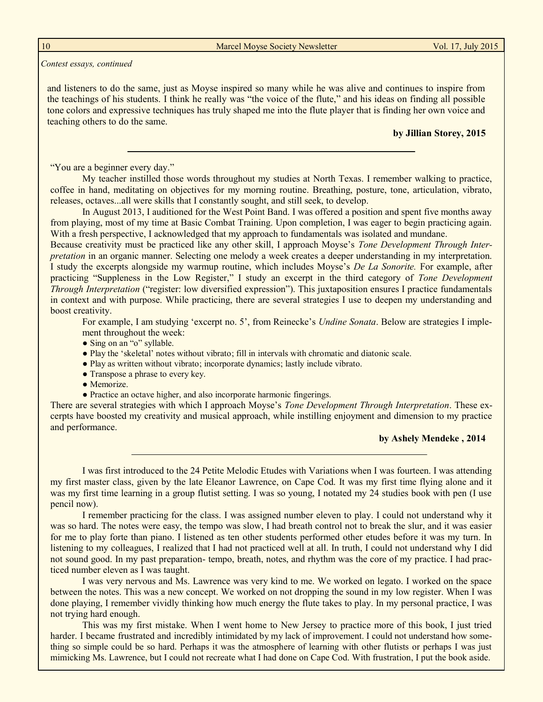10 Marcel Moyse Society Newsletter Vol. 17, July 2015

*Contest essays, continued*

and listeners to do the same, just as Moyse inspired so many while he was alive and continues to inspire from the teachings of his students. I think he really was "the voice of the flute," and his ideas on finding all possible tone colors and expressive techniques has truly shaped me into the flute player that is finding her own voice and teaching others to do the same.

#### **by Jillian Storey, 2015**

"You are a beginner every day."

My teacher instilled those words throughout my studies at North Texas. I remember walking to practice, coffee in hand, meditating on objectives for my morning routine. Breathing, posture, tone, articulation, vibrato, releases, octaves...all were skills that I constantly sought, and still seek, to develop.

In August 2013, I auditioned for the West Point Band. I was offered a position and spent five months away from playing, most of my time at Basic Combat Training. Upon completion, I was eager to begin practicing again. With a fresh perspective, I acknowledged that my approach to fundamentals was isolated and mundane.

Because creativity must be practiced like any other skill, I approach Moyse's *Tone Development Through Interpretation* in an organic manner. Selecting one melody a week creates a deeper understanding in my interpretation. I study the excerpts alongside my warmup routine, which includes Moyse's *De La Sonorite.* For example, after practicing "Suppleness in the Low Register," I study an excerpt in the third category of *Tone Development Through Interpretation* ("register: low diversified expression"). This juxtaposition ensures I practice fundamentals in context and with purpose. While practicing, there are several strategies I use to deepen my understanding and boost creativity.

For example, I am studying 'excerpt no. 5', from Reinecke's *Undine Sonata*. Below are strategies I implement throughout the week:

- Sing on an "o" syllable.
- Play the 'skeletal' notes without vibrato; fill in intervals with chromatic and diatonic scale.
- Play as written without vibrato; incorporate dynamics; lastly include vibrato.
- Transpose a phrase to every key.
- Memorize.
- Practice an octave higher, and also incorporate harmonic fingerings.

There are several strategies with which I approach Moyse's *Tone Development Through Interpretation*. These excerpts have boosted my creativity and musical approach, while instilling enjoyment and dimension to my practice and performance.

#### **by Ashely Mendeke , 2014**

I was first introduced to the 24 Petite Melodic Etudes with Variations when I was fourteen. I was attending my first master class, given by the late Eleanor Lawrence, on Cape Cod. It was my first time flying alone and it was my first time learning in a group flutist setting. I was so young, I notated my 24 studies book with pen (I use pencil now).

I remember practicing for the class. I was assigned number eleven to play. I could not understand why it was so hard. The notes were easy, the tempo was slow, I had breath control not to break the slur, and it was easier for me to play forte than piano. I listened as ten other students performed other etudes before it was my turn. In listening to my colleagues, I realized that I had not practiced well at all. In truth, I could not understand why I did not sound good. In my past preparation- tempo, breath, notes, and rhythm was the core of my practice. I had practiced number eleven as I was taught.

I was very nervous and Ms. Lawrence was very kind to me. We worked on legato. I worked on the space between the notes. This was a new concept. We worked on not dropping the sound in my low register. When I was done playing, I remember vividly thinking how much energy the flute takes to play. In my personal practice, I was not trying hard enough.

This was my first mistake. When I went home to New Jersey to practice more of this book, I just tried harder. I became frustrated and incredibly intimidated by my lack of improvement. I could not understand how something so simple could be so hard. Perhaps it was the atmosphere of learning with other flutists or perhaps I was just mimicking Ms. Lawrence, but I could not recreate what I had done on Cape Cod. With frustration, I put the book aside.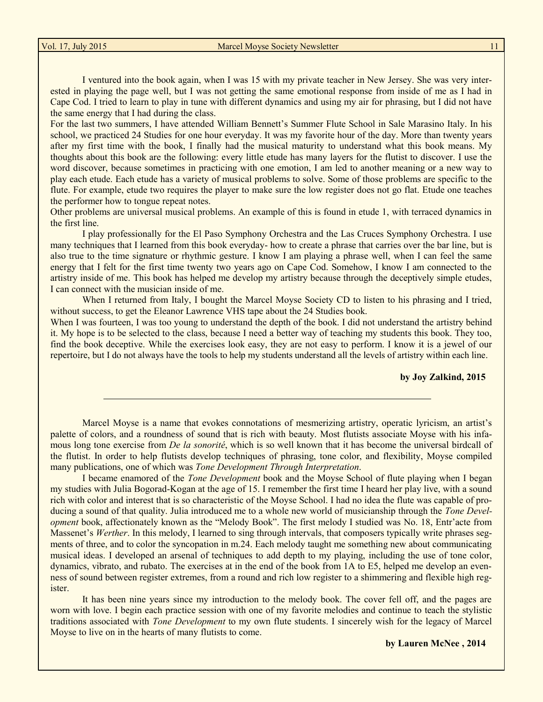I ventured into the book again, when I was 15 with my private teacher in New Jersey. She was very interested in playing the page well, but I was not getting the same emotional response from inside of me as I had in Cape Cod. I tried to learn to play in tune with different dynamics and using my air for phrasing, but I did not have the same energy that I had during the class.

For the last two summers, I have attended William Bennett's Summer Flute School in Sale Marasino Italy. In his school, we practiced 24 Studies for one hour everyday. It was my favorite hour of the day. More than twenty years after my first time with the book, I finally had the musical maturity to understand what this book means. My thoughts about this book are the following: every little etude has many layers for the flutist to discover. I use the word discover, because sometimes in practicing with one emotion, I am led to another meaning or a new way to play each etude. Each etude has a variety of musical problems to solve. Some of those problems are specific to the flute. For example, etude two requires the player to make sure the low register does not go flat. Etude one teaches the performer how to tongue repeat notes.

Other problems are universal musical problems. An example of this is found in etude 1, with terraced dynamics in the first line.

I play professionally for the El Paso Symphony Orchestra and the Las Cruces Symphony Orchestra. I use many techniques that I learned from this book everyday- how to create a phrase that carries over the bar line, but is also true to the time signature or rhythmic gesture. I know I am playing a phrase well, when I can feel the same energy that I felt for the first time twenty two years ago on Cape Cod. Somehow, I know I am connected to the artistry inside of me. This book has helped me develop my artistry because through the deceptively simple etudes, I can connect with the musician inside of me.

When I returned from Italy, I bought the Marcel Moyse Society CD to listen to his phrasing and I tried, without success, to get the Eleanor Lawrence VHS tape about the 24 Studies book.

When I was fourteen, I was too young to understand the depth of the book. I did not understand the artistry behind it. My hope is to be selected to the class, because I need a better way of teaching my students this book. They too, find the book deceptive. While the exercises look easy, they are not easy to perform. I know it is a jewel of our repertoire, but I do not always have the tools to help my students understand all the levels of artistry within each line.

#### **by Joy Zalkind, 2015**

Marcel Moyse is a name that evokes connotations of mesmerizing artistry, operatic lyricism, an artist's palette of colors, and a roundness of sound that is rich with beauty. Most flutists associate Moyse with his infamous long tone exercise from *De la sonorité*, which is so well known that it has become the universal birdcall of the flutist. In order to help flutists develop techniques of phrasing, tone color, and flexibility, Moyse compiled many publications, one of which was *Tone Development Through Interpretation*.

I became enamored of the *Tone Development* book and the Moyse School of flute playing when I began my studies with Julia Bogorad-Kogan at the age of 15. I remember the first time I heard her play live, with a sound rich with color and interest that is so characteristic of the Moyse School. I had no idea the flute was capable of producing a sound of that quality. Julia introduced me to a whole new world of musicianship through the *Tone Development* book, affectionately known as the "Melody Book". The first melody I studied was No. 18, Entr'acte from Massenet's *Werther*. In this melody, I learned to sing through intervals, that composers typically write phrases segments of three, and to color the syncopation in m.24. Each melody taught me something new about communicating musical ideas. I developed an arsenal of techniques to add depth to my playing, including the use of tone color, dynamics, vibrato, and rubato. The exercises at in the end of the book from 1A to E5, helped me develop an evenness of sound between register extremes, from a round and rich low register to a shimmering and flexible high register.

It has been nine years since my introduction to the melody book. The cover fell off, and the pages are worn with love. I begin each practice session with one of my favorite melodies and continue to teach the stylistic traditions associated with *Tone Development* to my own flute students. I sincerely wish for the legacy of Marcel Moyse to live on in the hearts of many flutists to come.

**by Lauren McNee , 2014**